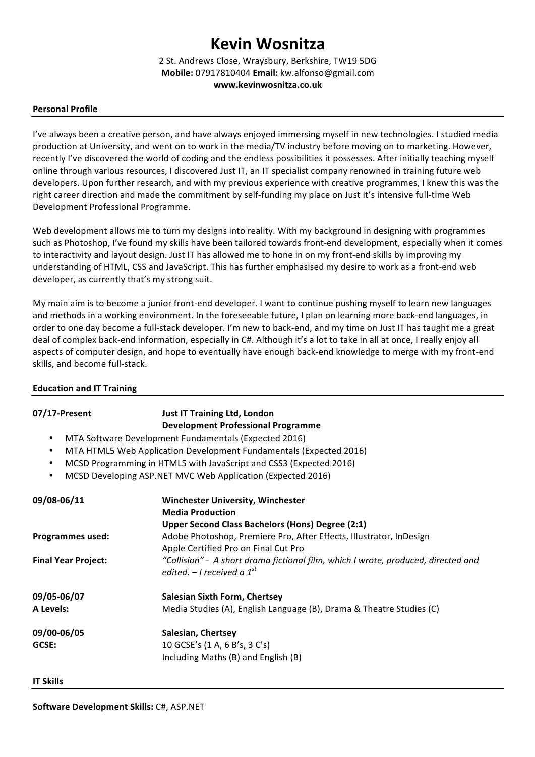# **Kevin Wosnitza**

2 St. Andrews Close, Wraysbury, Berkshire, TW19 5DG **Mobile:** 07917810404 **Email:** kw.alfonso@gmail.com **www.kevinwosnitza.co.uk**

#### **Personal Profile**

I've always been a creative person, and have always enjoyed immersing myself in new technologies. I studied media production at University, and went on to work in the media/TV industry before moving on to marketing. However, recently I've discovered the world of coding and the endless possibilities it possesses. After initially teaching myself online through various resources, I discovered Just IT, an IT specialist company renowned in training future web developers. Upon further research, and with my previous experience with creative programmes, I knew this was the right career direction and made the commitment by self-funding my place on Just It's intensive full-time Web Development Professional Programme.

Web development allows me to turn my designs into reality. With my background in designing with programmes such as Photoshop, I've found my skills have been tailored towards front-end development, especially when it comes to interactivity and layout design. Just IT has allowed me to hone in on my front-end skills by improving my understanding of HTML, CSS and JavaScript. This has further emphasised my desire to work as a front-end web developer, as currently that's my strong suit.

My main aim is to become a junior front-end developer. I want to continue pushing myself to learn new languages and methods in a working environment. In the foreseeable future, I plan on learning more back-end languages, in order to one day become a full-stack developer. I'm new to back-end, and my time on Just IT has taught me a great deal of complex back-end information, especially in C#. Although it's a lot to take in all at once, I really enjoy all aspects of computer design, and hope to eventually have enough back-end knowledge to merge with my front-end skills, and become full-stack.

## **07/17-Present Just IT Training Ltd, London Development Professional Programme** MTA Software Development Fundamentals (Expected 2016) • MTA HTML5 Web Application Development Fundamentals (Expected 2016) MCSD Programming in HTML5 with JavaScript and CSS3 (Expected 2016) MCSD Developing ASP.NET MVC Web Application (Expected 2016) 09/08-06/11 **Winchester University, Winchester Media Production Upper Second Class Bachelors (Hons) Degree (2:1) Programmes used:** Adobe Photoshop, Premiere Pro, After Effects, Illustrator, InDesign Apple Certified Pro on Final Cut Pro **Final Year Project:** *"Collision"* - A short drama fictional film, which I wrote, produced, directed and *edited.* – *I* received a  $1^{st}$ **09/05-06/07 Salesian Sixth Form, Chertsey A Levels:** Media Studies (A), English Language (B), Drama & Theatre Studies (C) **09/00-06/05 Salesian, Chertsey GCSE:** 10 GCSE's (1 A, 6 B's, 3 C's) Including Maths (B) and English (B)

#### **Education and IT Training**

#### **IT Skills**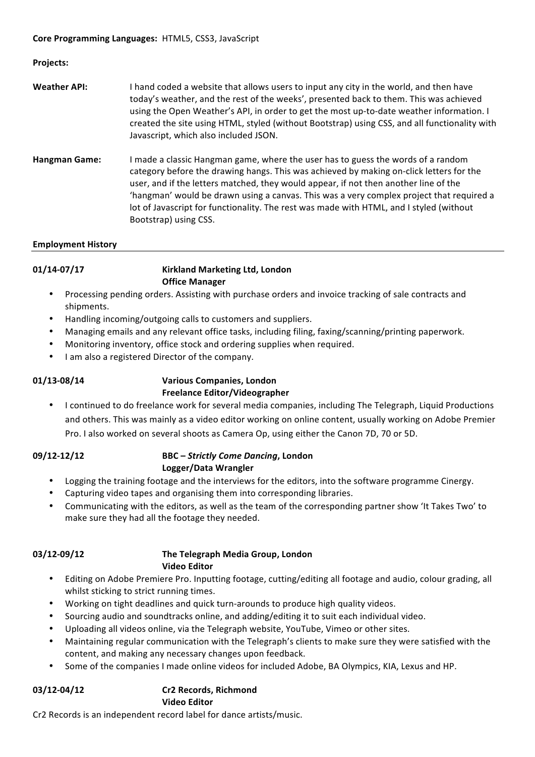#### **Projects:**

- **Weather API:** I hand coded a website that allows users to input any city in the world, and then have today's weather, and the rest of the weeks', presented back to them. This was achieved using the Open Weather's API, in order to get the most up-to-date weather information. I created the site using HTML, styled (without Bootstrap) using CSS, and all functionality with Javascript, which also included JSON.
- Hangman Game: I made a classic Hangman game, where the user has to guess the words of a random category before the drawing hangs. This was achieved by making on-click letters for the user, and if the letters matched, they would appear, if not then another line of the 'hangman' would be drawn using a canvas. This was a very complex project that required a lot of Javascript for functionality. The rest was made with HTML, and I styled (without Bootstrap) using CSS.

#### **Employment History**

01/14-07/17 **Kirkland Marketing Ltd, London Office Manager**

- Processing pending orders. Assisting with purchase orders and invoice tracking of sale contracts and shipments.
- Handling incoming/outgoing calls to customers and suppliers.
- Managing emails and any relevant office tasks, including filing, faxing/scanning/printing paperwork.
- Monitoring inventory, office stock and ordering supplies when required.
- I am also a registered Director of the company.

#### 01/13-08/14 **Various Companies, London Freelance Editor/Videographer**

• I continued to do freelance work for several media companies, including The Telegraph, Liquid Productions and others. This was mainly as a video editor working on online content, usually working on Adobe Premier Pro. I also worked on several shoots as Camera Op, using either the Canon 7D, 70 or 5D.

### **09/12-12/12 BBC** – *Strictly Come Dancing*, London **Logger/Data Wrangler**

- Logging the training footage and the interviews for the editors, into the software programme Cinergy.
- Capturing video tapes and organising them into corresponding libraries.
- Communicating with the editors, as well as the team of the corresponding partner show 'It Takes Two' to make sure they had all the footage they needed.

#### 03/12-09/12 The Telegraph Media Group, London **Video Editor**

- Editing on Adobe Premiere Pro. Inputting footage, cutting/editing all footage and audio, colour grading, all whilst sticking to strict running times.
- Working on tight deadlines and quick turn-arounds to produce high quality videos.
- Sourcing audio and soundtracks online, and adding/editing it to suit each individual video.
- Uploading all videos online, via the Telegraph website, YouTube, Vimeo or other sites.
- Maintaining regular communication with the Telegraph's clients to make sure they were satisfied with the content, and making any necessary changes upon feedback.
- Some of the companies I made online videos for included Adobe, BA Olympics, KIA, Lexus and HP.

#### **03/12-04/12 Cr2 Records, Richmond Video Editor**

Cr2 Records is an independent record label for dance artists/music.